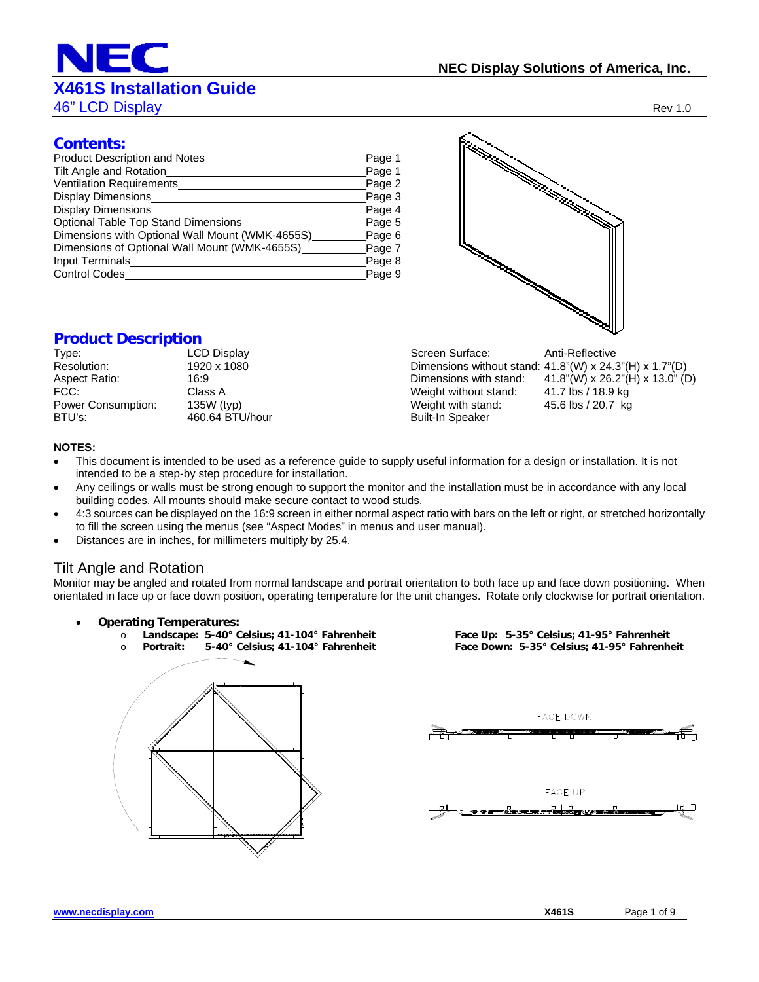## **X461S Installation Guide**

**46" LCD Display Rev 1.0** 

#### **Contents:**

| Product Description and Notes<br>Tilt Angle and Rotation | Page 1<br>Page 1 |
|----------------------------------------------------------|------------------|
| <b>Ventilation Requirements</b>                          | Page 2           |
| Display Dimensions                                       | Page 3           |
| <b>Display Dimensions</b>                                | Page 4           |
| Optional Table Top Stand Dimensions                      | Page 5           |
| Dimensions with Optional Wall Mount (WMK-4655S)          | Page 6           |
| Dimensions of Optional Wall Mount (WMK-4655S)            | Page 7           |
| Input Terminals                                          | Page 8           |
| <b>Control Codes</b>                                     | Page 9           |

#### **Product Description**

| Type:              | LCD Di  |
|--------------------|---------|
| Resolution:        | 1920 x  |
| Aspect Ratio:      | 16:9    |
| FCC:               | Class A |
| Power Consumption: | 135W (  |
| BTU's:             | 460.64  |
|                    |         |



Type: Legislary Screen Surface: Anti-Reflective 1080 Dimensions without stand: 41.8"(W) x 24.3"(H) x 1.7"(D) Dimensions with stand:  $41.8"$ (W) x 26.2"(H) x 13.0" (D) Weight without stand: 41.7 lbs / 18.9 kg<br>Weight with stand: 45.6 lbs / 20.7 kg Power Consumption: 135 Weight with stand:<br>Power Consumption: 135 Built-In Speaker Built-In Speaker

#### **NOTES:**

- This document is intended to be used as a reference guide to supply useful information for a design or installation. It is not intended to be a step-by step procedure for installation.
- Any ceilings or walls must be strong enough to support the monitor and the installation must be in accordance with any local building codes. All mounts should make secure contact to wood studs.
- 4:3 sources can be displayed on the 16:9 screen in either normal aspect ratio with bars on the left or right, or stretched horizontally to fill the screen using the menus (see "Aspect Modes" in menus and user manual).
- Distances are in inches, for millimeters multiply by 25.4.

#### Tilt Angle and Rotation

Monitor may be angled and rotated from normal landscape and portrait orientation to both face up and face down positioning. When orientated in face up or face down position, operating temperature for the unit changes. Rotate only clockwise for portrait orientation.

- **Operating Temperatures:** 
	-
	- o **Portrait: 5-40° Celsius; 41-104° Fahrenheit Face Down: 5-35° Celsius; 41-95° Fahrenheit**

o **Landscape: 5-40° Celsius; 41-104° Fahrenheit Face Up: 5-35° Celsius; 41-95° Fahrenheit** 

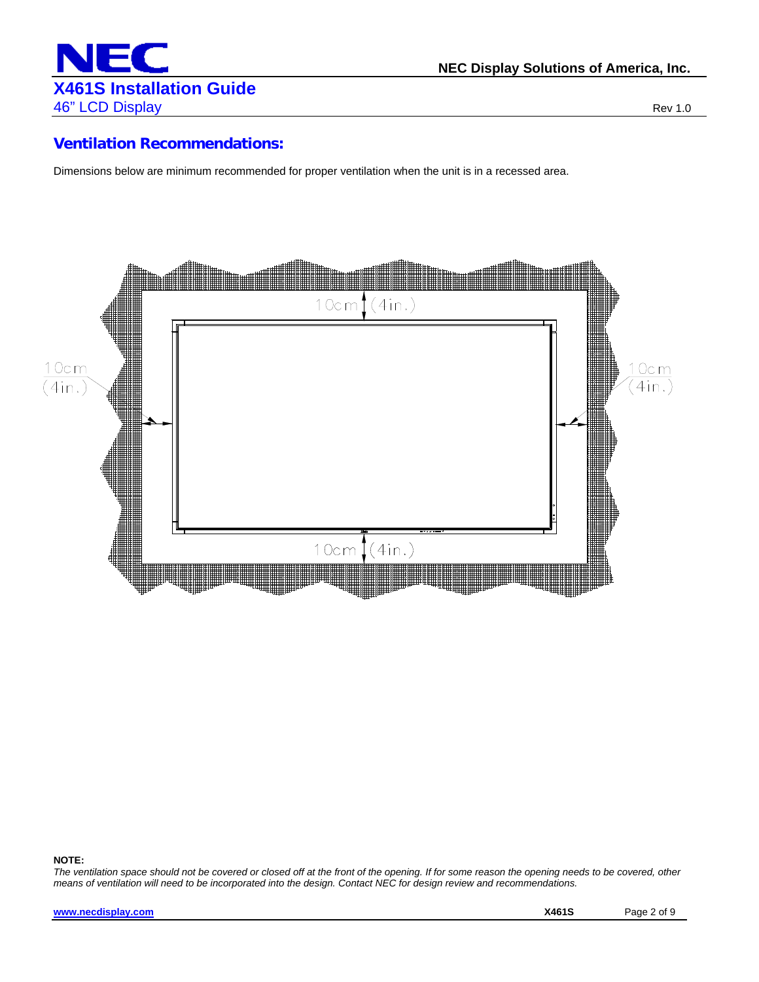

#### **Ventilation Recommendations:**

Dimensions below are minimum recommended for proper ventilation when the unit is in a recessed area.



#### **NOTE:**

*The ventilation space should not be covered or closed off at the front of the opening. If for some reason the opening needs to be covered, other means of ventilation will need to be incorporated into the design. Contact NEC for design review and recommendations.*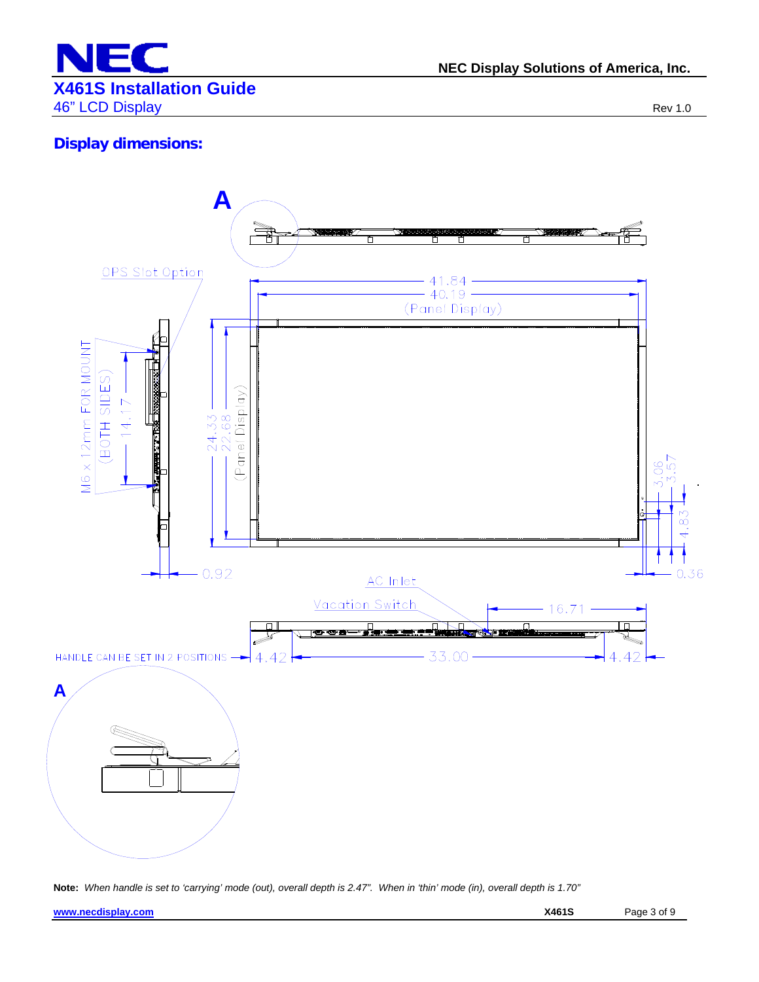

## **Display dimensions:**



**Note:** *When handle is set to 'carrying' mode (out), overall depth is 2.47". When in 'thin' mode (in), overall depth is 1.70"*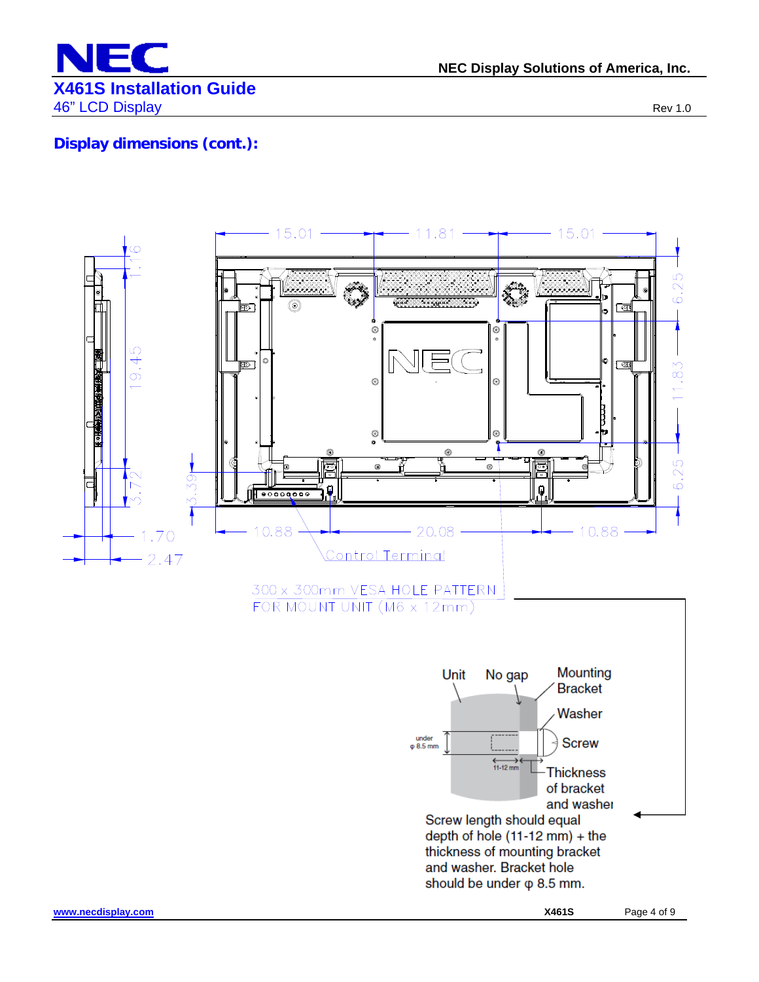

**NEC Display Solutions of America, Inc.**

## **Display dimensions (cont.):**

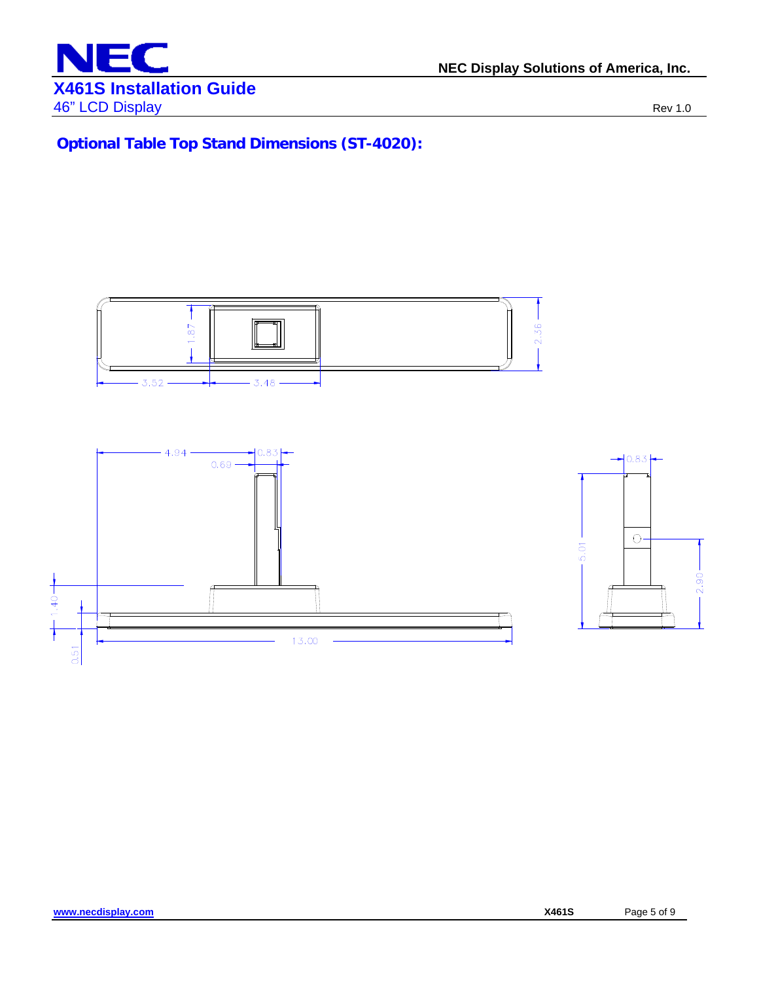

**Optional Table Top Stand Dimensions (ST-4020):** 

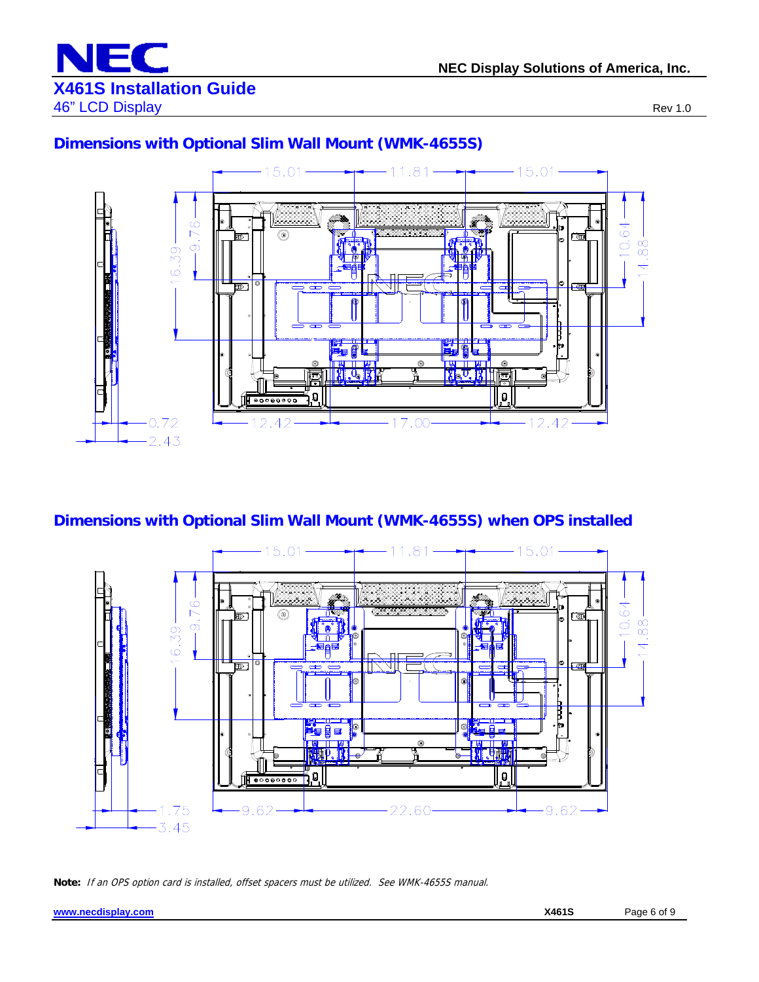

#### **Dimensions with Optional Slim Wall Mount (WMK-4655S)**



## **Dimensions with Optional Slim Wall Mount (WMK-4655S) when OPS installed**



**Note:** If an OPS option card is installed, offset spacers must be utilized. See WMK-4655S manual.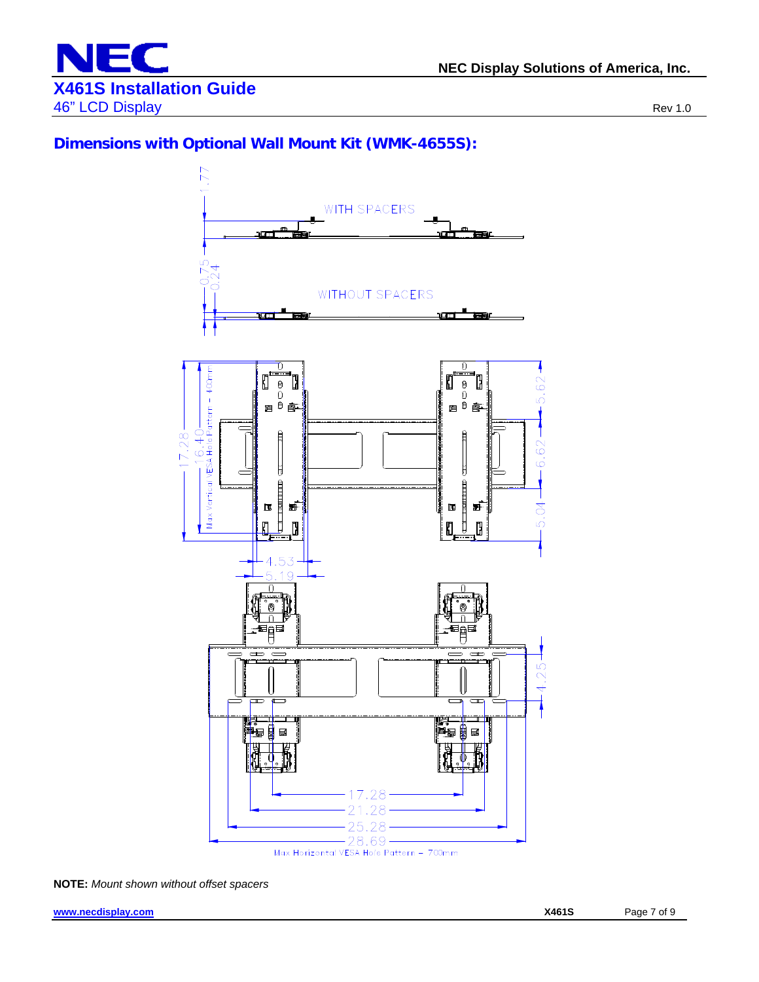

### **Dimensions with Optional Wall Mount Kit (WMK-4655S):**



**NOTE:** *Mount shown without offset spacers*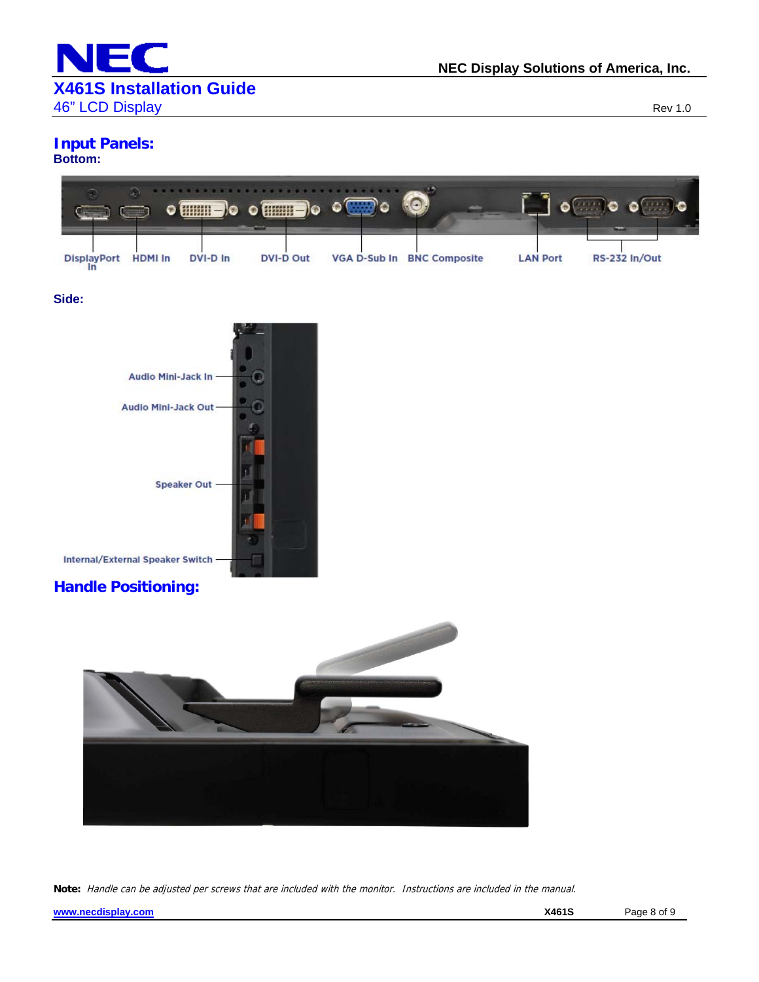

## **Input Panels:**

#### **Bottom:**



#### **Side:**



### **Handle Positioning:**



**Note:** Handle can be adjusted per screws that are included with the monitor. Instructions are included in the manual.